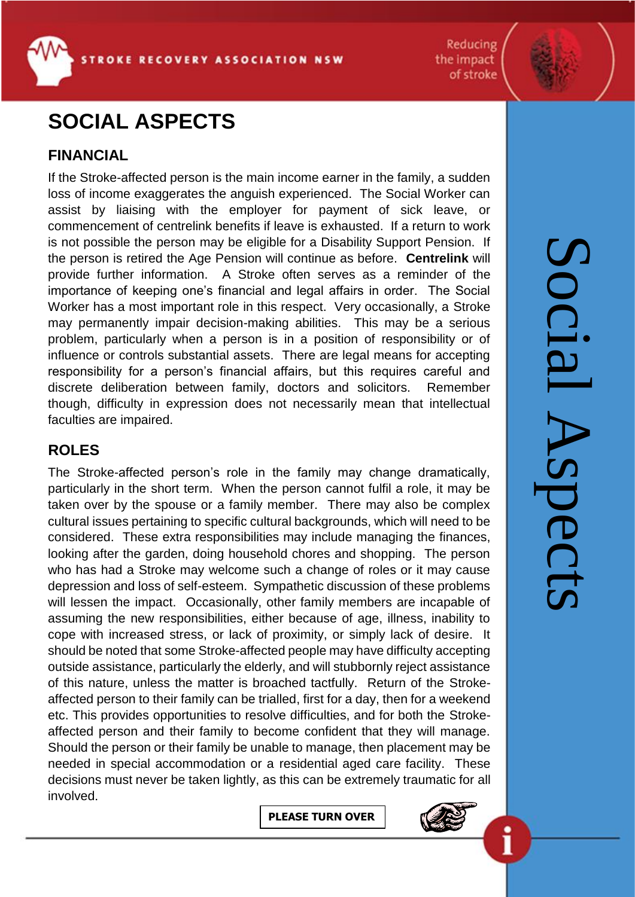**ROKE RECOVERY ASSOCIATION NSW** 

# **SOCIAL ASPECTS**

# **FINANCIAL**

If the Stroke-affected person is the main income earner in the family, a sudden loss of income exaggerates the anguish experienced. The Social Worker can assist by liaising with the employer for payment of sick leave, or commencement of centrelink benefits if leave is exhausted. If a return to work is not possible the person may be eligible for a Disability Support Pension. If the person is retired the Age Pension will continue as before. **Centrelink** will provide further information. A Stroke often serves as a reminder of the importance of keeping one's financial and legal affairs in order. The Social Worker has a most important role in this respect. Very occasionally, a Stroke may permanently impair decision-making abilities. This may be a serious problem, particularly when a person is in a position of responsibility or of influence or controls substantial assets. There are legal means for accepting responsibility for a person's financial affairs, but this requires careful and discrete deliberation between family, doctors and solicitors. Remember though, difficulty in expression does not necessarily mean that intellectual faculties are impaired.

## **ROLES**

The Stroke-affected person's role in the family may change dramatically, particularly in the short term. When the person cannot fulfil a role, it may be taken over by the spouse or a family member. There may also be complex cultural issues pertaining to specific cultural backgrounds, which will need to be considered. These extra responsibilities may include managing the finances, looking after the garden, doing household chores and shopping. The person who has had a Stroke may welcome such a change of roles or it may cause depression and loss of self-esteem. Sympathetic discussion of these problems will lessen the impact. Occasionally, other family members are incapable of assuming the new responsibilities, either because of age, illness, inability to cope with increased stress, or lack of proximity, or simply lack of desire. It should be noted that some Stroke-affected people may have difficulty accepting outside assistance, particularly the elderly, and will stubbornly reject assistance of this nature, unless the matter is broached tactfully. Return of the Strokeaffected person to their family can be trialled, first for a day, then for a weekend etc. This provides opportunities to resolve difficulties, and for both the Strokeaffected person and their family to become confident that they will manage. Should the person or their family be unable to manage, then placement may be needed in special accommodation or a residential aged care facility. These decisions must never be taken lightly, as this can be extremely traumatic for all involved.

**PLEASE TURN OVER**



Reducing

the impact of stroke

> Social AspectsS **OCIA** Spect